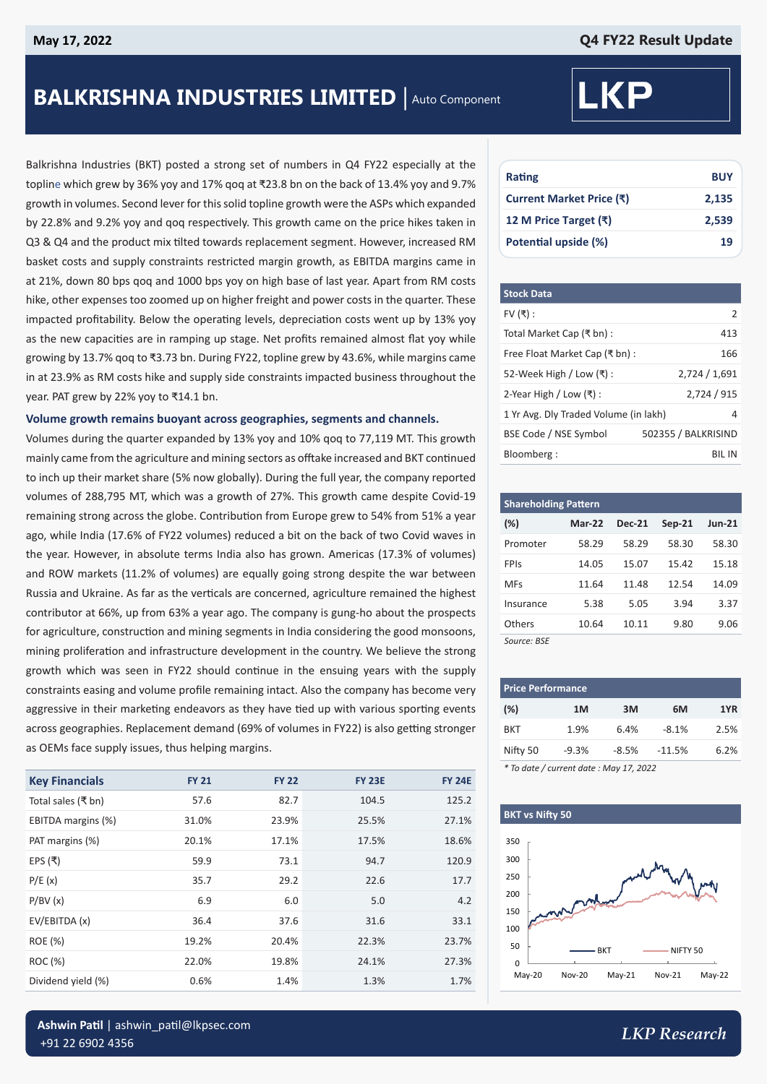# **BALKRISHNA INDUSTRIES LIMITED** | Auto Component

Balkrishna Industries (BKT) posted a strong set of numbers in Q4 FY22 especially at the topline which grew by 36% yoy and 17% qoq at ₹23.8 bn on the back of 13.4% yoy and 9.7% growth in volumes. Second lever for this solid topline growth were the ASPs which expanded by 22.8% and 9.2% yoy and qoq respectively. This growth came on the price hikes taken in Q3 & Q4 and the product mix tilted towards replacement segment. However, increased RM basket costs and supply constraints restricted margin growth, as EBITDA margins came in at 21%, down 80 bps qoq and 1000 bps yoy on high base of last year. Apart from RM costs hike, other expenses too zoomed up on higher freight and power costs in the quarter. These impacted profitability. Below the operating levels, depreciation costs went up by 13% yoy as the new capacities are in ramping up stage. Net profits remained almost flat yoy while growing by 13.7% qoq to ₹3.73 bn. During FY22, topline grew by 43.6%, while margins came in at 23.9% as RM costs hike and supply side constraints impacted business throughout the year. PAT grew by 22% yoy to ₹14.1 bn.

#### **Volume growth remains buoyant across geographies, segments and channels.**

Volumes during the quarter expanded by 13% yoy and 10% qoq to 77,119 MT. This growth mainly came from the agriculture and mining sectors as offtake increased and BKT continued to inch up their market share (5% now globally). During the full year, the company reported volumes of 288,795 MT, which was a growth of 27%. This growth came despite Covid-19 remaining strong across the globe. Contribution from Europe grew to 54% from 51% a year ago, while India (17.6% of FY22 volumes) reduced a bit on the back of two Covid waves in the year. However, in absolute terms India also has grown. Americas (17.3% of volumes) and ROW markets (11.2% of volumes) are equally going strong despite the war between Russia and Ukraine. As far as the verticals are concerned, agriculture remained the highest contributor at 66%, up from 63% a year ago. The company is gung-ho about the prospects for agriculture, construction and mining segments in India considering the good monsoons, mining proliferation and infrastructure development in the country. We believe the strong growth which was seen in FY22 should continue in the ensuing years with the supply constraints easing and volume profile remaining intact. Also the company has become very aggressive in their marketing endeavors as they have tied up with various sporting events across geographies. Replacement demand (69% of volumes in FY22) is also getting stronger as OEMs face supply issues, thus helping margins.

| <b>Key Financials</b> | <b>FY 21</b> | <b>FY 22</b> | <b>FY 23E</b> | <b>FY 24E</b> |
|-----------------------|--------------|--------------|---------------|---------------|
| Total sales (₹ bn)    | 57.6         | 82.7         | 104.5         | 125.2         |
| EBITDA margins (%)    | 31.0%        | 23.9%        | 25.5%         | 27.1%         |
| PAT margins (%)       | 20.1%        | 17.1%        | 17.5%         | 18.6%         |
| EPS (푹)               | 59.9         | 73.1         | 94.7          | 120.9         |
| P/E(x)                | 35.7         | 29.2         | 22.6          | 17.7          |
| P/BV(x)               | 6.9          | 6.0          | 5.0           | 4.2           |
| EV/EBITDA (x)         | 36.4         | 37.6         | 31.6          | 33.1          |
| ROE (%)               | 19.2%        | 20.4%        | 22.3%         | 23.7%         |
| ROC (%)               | 22.0%        | 19.8%        | 24.1%         | 27.3%         |
| Dividend yield (%)    | 0.6%         | 1.4%         | 1.3%          | 1.7%          |

# **LKP**

| Rating                   | <b>BUY</b> |
|--------------------------|------------|
| Current Market Price (₹) | 2,135      |
| 12 M Price Target (₹)    | 2,539      |
| Potential upside (%)     | 19         |

| <b>Stock Data</b>                     |                     |
|---------------------------------------|---------------------|
| FV $($ ₹):                            | 2                   |
| Total Market Cap (₹ bn) :             | 413                 |
| Free Float Market Cap (₹ bn):         | 166                 |
| 52-Week High / Low (₹) :              | 2,724 / 1,691       |
| 2-Year High / Low $($ ₹ $)$ :         | 2,724 / 915         |
| 1 Yr Avg. Dly Traded Volume (in lakh) | 4                   |
| BSE Code / NSE Symbol                 | 502355 / BALKRISIND |
| Bloomberg:                            | BII IN              |

| <b>Shareholding Pattern</b> |               |               |          |          |  |  |
|-----------------------------|---------------|---------------|----------|----------|--|--|
| $(\%)$                      | <b>Mar-22</b> | <b>Dec-21</b> | $Sep-21$ | $Jun-21$ |  |  |
| Promoter                    | 58.29         | 58.29         | 58.30    | 58.30    |  |  |
| FPIs                        | 14.05         | 15.07         | 15.42    | 15.18    |  |  |
| MFs                         | 11.64         | 11.48         | 12.54    | 14.09    |  |  |
| Insurance                   | 5.38          | 5.05          | 3.94     | 3.37     |  |  |
| Others                      | 10.64         | 10.11         | 9.80     | 9.06     |  |  |
| Source: BSE                 |               |               |          |          |  |  |

| <b>Price Performance</b> |         |         |          |      |
|--------------------------|---------|---------|----------|------|
| (%)                      | 1M      | 3M      | 6M       | 1YR  |
| <b>BKT</b>               | 1.9%    | 6.4%    | $-8.1%$  | 2.5% |
| Nifty 50                 | $-9.3%$ | $-8.5%$ | $-11.5%$ | 6.2% |
| .                        | .       |         |          |      |

*\* To date / current date : May 17, 2022*

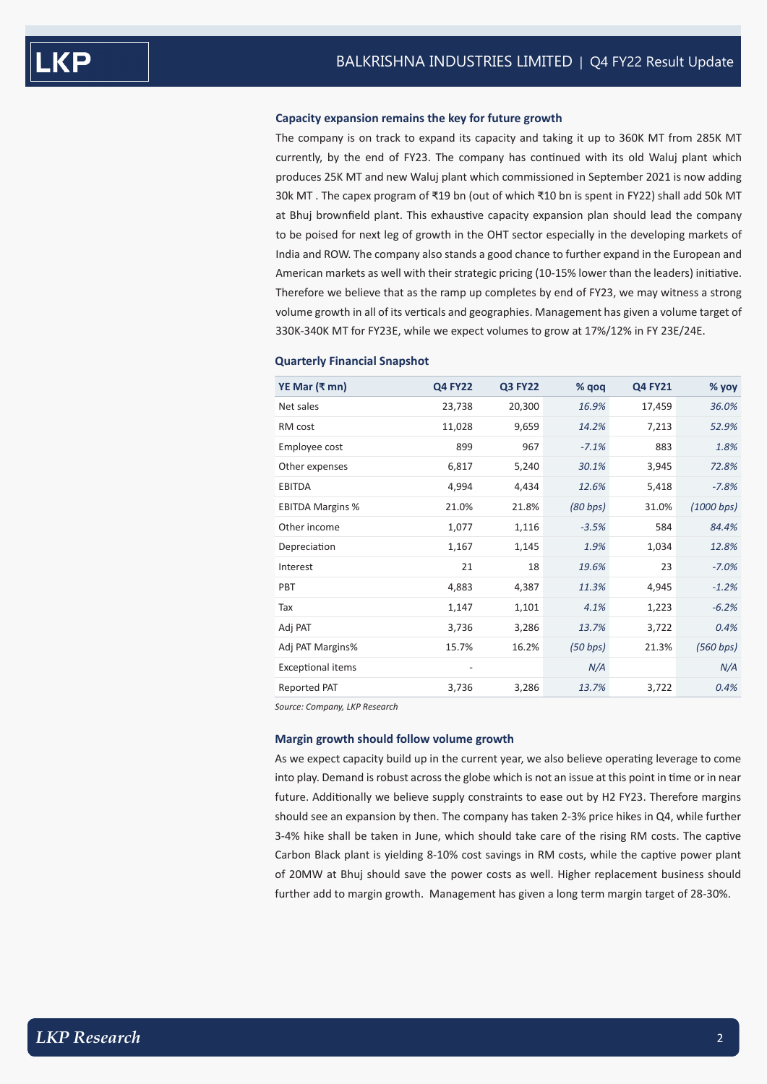#### **Capacity expansion remains the key for future growth**

The company is on track to expand its capacity and taking it up to 360K MT from 285K MT currently, by the end of FY23. The company has continued with its old Waluj plant which produces 25K MT and new Waluj plant which commissioned in September 2021 is now adding 30k MT . The capex program of ₹19 bn (out of which ₹10 bn is spent in FY22) shall add 50k MT at Bhuj brownfield plant. This exhaustive capacity expansion plan should lead the company to be poised for next leg of growth in the OHT sector especially in the developing markets of India and ROW. The company also stands a good chance to further expand in the European and American markets as well with their strategic pricing (10-15% lower than the leaders) initiative. Therefore we believe that as the ramp up completes by end of FY23, we may witness a strong volume growth in all of its verticals and geographies. Management has given a volume target of 330K-340K MT for FY23E, while we expect volumes to grow at 17%/12% in FY 23E/24E.

| YE Mar (₹ mn)            | <b>Q4 FY22</b> | <b>Q3 FY22</b> | $%$ qoq  | <b>Q4 FY21</b> | % yoy      |
|--------------------------|----------------|----------------|----------|----------------|------------|
| Net sales                | 23,738         | 20,300         | 16.9%    | 17,459         | 36.0%      |
| RM cost                  | 11,028         | 9,659          | 14.2%    | 7,213          | 52.9%      |
| Employee cost            | 899            | 967            | $-7.1%$  | 883            | 1.8%       |
| Other expenses           | 6,817          | 5,240          | 30.1%    | 3,945          | 72.8%      |
| <b>EBITDA</b>            | 4,994          | 4,434          | 12.6%    | 5,418          | $-7.8%$    |
| <b>EBITDA Margins %</b>  | 21.0%          | 21.8%          | (80 bps) | 31.0%          | (1000 bps) |
| Other income             | 1,077          | 1,116          | $-3.5%$  | 584            | 84.4%      |
| Depreciation             | 1,167          | 1,145          | 1.9%     | 1,034          | 12.8%      |
| Interest                 | 21             | 18             | 19.6%    | 23             | $-7.0%$    |
| PBT                      | 4,883          | 4,387          | 11.3%    | 4,945          | $-1.2%$    |
| Tax                      | 1,147          | 1,101          | 4.1%     | 1,223          | $-6.2%$    |
| Adj PAT                  | 3,736          | 3,286          | 13.7%    | 3,722          | 0.4%       |
| Adj PAT Margins%         | 15.7%          | 16.2%          | (50 bps) | 21.3%          | (560 bps)  |
| <b>Exceptional items</b> |                |                | N/A      |                | N/A        |
| Reported PAT             | 3,736          | 3,286          | 13.7%    | 3,722          | 0.4%       |

#### **Quarterly Financial Snapshot**

*Source: Company, LKP Research*

#### **Margin growth should follow volume growth**

As we expect capacity build up in the current year, we also believe operating leverage to come into play. Demand is robust across the globe which is not an issue at this point in time or in near future. Additionally we believe supply constraints to ease out by H2 FY23. Therefore margins should see an expansion by then. The company has taken 2-3% price hikes in Q4, while further 3-4% hike shall be taken in June, which should take care of the rising RM costs. The captive Carbon Black plant is yielding 8-10% cost savings in RM costs, while the captive power plant of 20MW at Bhuj should save the power costs as well. Higher replacement business should further add to margin growth. Management has given a long term margin target of 28-30%.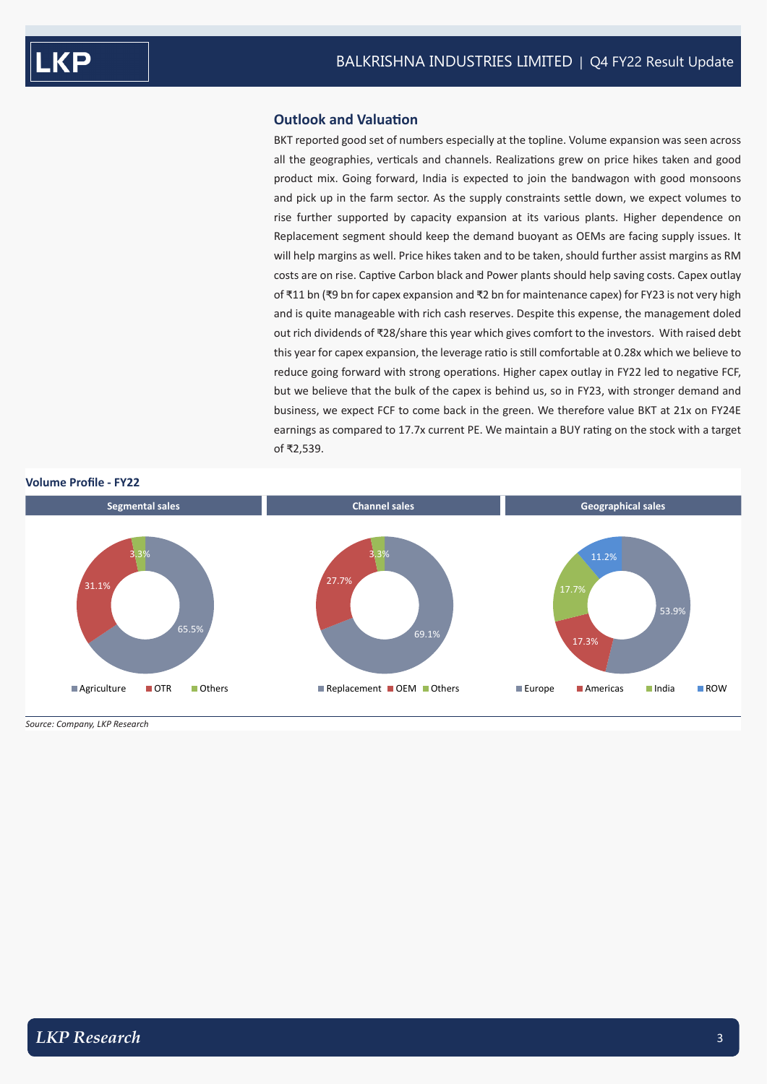## **Outlook and Valuation**

BKT reported good set of numbers especially at the topline. Volume expansion was seen across all the geographies, verticals and channels. Realizations grew on price hikes taken and good product mix. Going forward, India is expected to join the bandwagon with good monsoons and pick up in the farm sector. As the supply constraints settle down, we expect volumes to rise further supported by capacity expansion at its various plants. Higher dependence on Replacement segment should keep the demand buoyant as OEMs are facing supply issues. It will help margins as well. Price hikes taken and to be taken, should further assist margins as RM costs are on rise. Captive Carbon black and Power plants should help saving costs. Capex outlay of ₹11 bn (₹9 bn for capex expansion and ₹2 bn for maintenance capex) for FY23 is not very high and is quite manageable with rich cash reserves. Despite this expense, the management doled out rich dividends of ₹28/share this year which gives comfort to the investors. With raised debt this year for capex expansion, the leverage ratio is still comfortable at 0.28x which we believe to reduce going forward with strong operations. Higher capex outlay in FY22 led to negative FCF, but we believe that the bulk of the capex is behind us, so in FY23, with stronger demand and business, we expect FCF to come back in the green. We therefore value BKT at 21x on FY24E earnings as compared to 17.7x current PE. We maintain a BUY rating on the stock with a target of ₹2,539.



*Source: Company, LKP Research*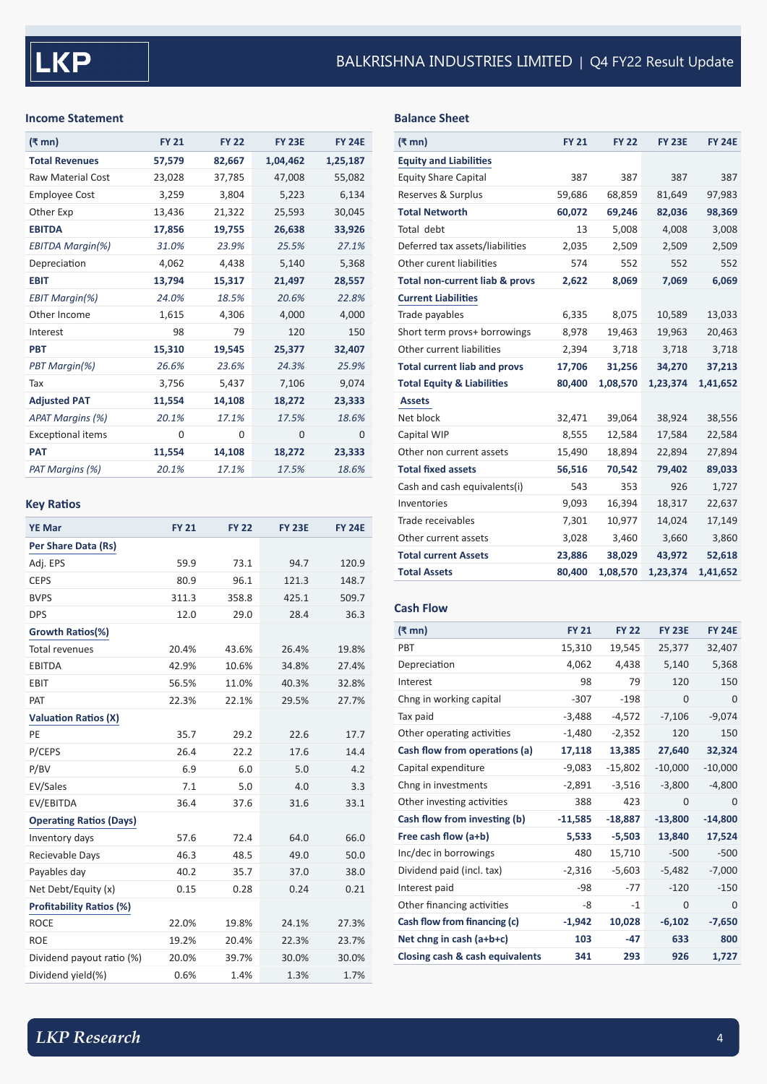## **Income Statement**

| (₹ mn)                   | <b>FY 21</b> | <b>FY 22</b> | <b>FY 23E</b> | <b>FY 24F</b> |
|--------------------------|--------------|--------------|---------------|---------------|
| <b>Total Revenues</b>    | 57,579       | 82,667       | 1,04,462      | 1,25,187      |
| <b>Raw Material Cost</b> | 23,028       | 37,785       | 47,008        | 55,082        |
| <b>Employee Cost</b>     | 3,259        | 3,804        | 5,223         | 6,134         |
| Other Exp                | 13,436       | 21,322       | 25,593        | 30,045        |
| <b>EBITDA</b>            | 17,856       | 19,755       | 26,638        | 33,926        |
| <b>EBITDA Margin(%)</b>  | 31.0%        | 23.9%        | 25.5%         | 27.1%         |
| Depreciation             | 4,062        | 4,438        | 5,140         | 5,368         |
| <b>EBIT</b>              | 13,794       | 15,317       | 21,497        | 28,557        |
| <b>EBIT Margin(%)</b>    | 24.0%        | 18.5%        | 20.6%         | 22.8%         |
| Other Income             | 1,615        | 4,306        | 4,000         | 4,000         |
| Interest                 | 98           | 79           | 120           | 150           |
| <b>PBT</b>               | 15,310       | 19,545       | 25,377        | 32,407        |
| PBT Margin(%)            | 26.6%        | 23.6%        | 24.3%         | 25.9%         |
| Tax                      | 3,756        | 5,437        | 7,106         | 9,074         |
| <b>Adjusted PAT</b>      | 11,554       | 14,108       | 18,272        | 23,333        |
| <b>APAT Margins (%)</b>  | 20.1%        | 17.1%        | 17.5%         | 18.6%         |
| <b>Exceptional items</b> | 0            | 0            | 0             | $\Omega$      |
| <b>PAT</b>               | 11,554       | 14,108       | 18,272        | 23,333        |
| PAT Margins (%)          | 20.1%        | 17.1%        | 17.5%         | 18.6%         |

# **Key Ratios**

| <b>YE Mar</b>                   | <b>FY 21</b> | <b>FY 22</b> | <b>FY 23E</b> | <b>FY 24E</b> |
|---------------------------------|--------------|--------------|---------------|---------------|
| Per Share Data (Rs)             |              |              |               |               |
| Adj. EPS                        | 59.9         | 73.1         | 94.7          | 120.9         |
| <b>CEPS</b>                     | 80.9         | 96.1         | 121.3         | 148.7         |
| <b>BVPS</b>                     | 311.3        | 358.8        | 425.1         | 509.7         |
| <b>DPS</b>                      | 12.0         | 29.0         | 28.4          | 36.3          |
| Growth Ratios(%)                |              |              |               |               |
| <b>Total revenues</b>           | 20.4%        | 43.6%        | 26.4%         | 19.8%         |
| <b>EBITDA</b>                   | 42.9%        | 10.6%        | 34.8%         | 27.4%         |
| EBIT                            | 56.5%        | 11.0%        | 40.3%         | 32.8%         |
| PAT                             | 22.3%        | 22.1%        | 29.5%         | 27.7%         |
| <b>Valuation Ratios (X)</b>     |              |              |               |               |
| PE                              | 35.7         | 29.2         | 22.6          | 17.7          |
| P/CEPS                          | 26.4         | 22.2         | 17.6          | 14.4          |
| P/BV                            | 6.9          | 6.0          | 5.0           | 4.2           |
| EV/Sales                        | 7.1          | 5.0          | 4.0           | 3.3           |
| EV/EBITDA                       | 36.4         | 37.6         | 31.6          | 33.1          |
| <b>Operating Ratios (Days)</b>  |              |              |               |               |
| Inventory days                  | 57.6         | 72.4         | 64.0          | 66.0          |
| Recievable Days                 | 46.3         | 48.5         | 49.0          | 50.0          |
| Payables day                    | 40.2         | 35.7         | 37.0          | 38.0          |
| Net Debt/Equity (x)             | 0.15         | 0.28         | 0.24          | 0.21          |
| <b>Profitability Ratios (%)</b> |              |              |               |               |
| <b>ROCE</b>                     | 22.0%        | 19.8%        | 24.1%         | 27.3%         |
| <b>ROE</b>                      | 19.2%        | 20.4%        | 22.3%         | 23.7%         |
| Dividend payout ratio (%)       | 20.0%        | 39.7%        | 30.0%         | 30.0%         |
| Dividend yield(%)               | 0.6%         | 1.4%         | 1.3%          | 1.7%          |

# **Balance Sheet**

| (₹ mn)                                | <b>FY 21</b> | <b>FY 22</b> | <b>FY 23E</b> | <b>FY 24E</b> |
|---------------------------------------|--------------|--------------|---------------|---------------|
| <b>Equity and Liabilities</b>         |              |              |               |               |
| <b>Equity Share Capital</b>           | 387          | 387          | 387           | 387           |
| Reserves & Surplus                    | 59,686       | 68,859       | 81,649        | 97,983        |
| <b>Total Networth</b>                 | 60,072       | 69,246       | 82,036        | 98,369        |
| Total debt                            | 13           | 5,008        | 4,008         | 3,008         |
| Deferred tax assets/liabilities       | 2,035        | 2,509        | 2,509         | 2,509         |
| Other curent liabilities              | 574          | 552          | 552           | 552           |
| Total non-current liab & provs        | 2,622        | 8,069        | 7,069         | 6,069         |
| <b>Current Liabilities</b>            |              |              |               |               |
| Trade payables                        | 6,335        | 8,075        | 10,589        | 13,033        |
| Short term provs+ borrowings          | 8,978        | 19,463       | 19,963        | 20,463        |
| Other current liabilities             | 2,394        | 3,718        | 3,718         | 3,718         |
| <b>Total current liab and provs</b>   | 17,706       | 31,256       | 34,270        | 37,213        |
| <b>Total Equity &amp; Liabilities</b> | 80,400       | 1,08,570     | 1,23,374      | 1,41,652      |
| <b>Assets</b>                         |              |              |               |               |
| Net block                             | 32,471       | 39,064       | 38,924        | 38,556        |
| Capital WIP                           | 8,555        | 12,584       | 17,584        | 22,584        |
| Other non current assets              | 15,490       | 18,894       | 22,894        | 27,894        |
| <b>Total fixed assets</b>             | 56,516       | 70,542       | 79,402        | 89,033        |
| Cash and cash equivalents(i)          | 543          | 353          | 926           | 1,727         |
| Inventories                           | 9,093        | 16,394       | 18,317        | 22,637        |
| Trade receivables                     | 7,301        | 10,977       | 14,024        | 17,149        |
| Other current assets                  | 3,028        | 3,460        | 3,660         | 3,860         |
| <b>Total current Assets</b>           | 23,886       | 38,029       | 43,972        | 52,618        |
| <b>Total Assets</b>                   | 80,400       | 1,08,570     | 1,23,374      | 1,41,652      |

# **Cash Flow**

| (₹ mn)                          | <b>FY 21</b> | <b>FY 22</b> | <b>FY 23E</b> | <b>FY 24E</b> |
|---------------------------------|--------------|--------------|---------------|---------------|
| <b>PBT</b>                      | 15,310       | 19,545       | 25,377        | 32,407        |
| Depreciation                    | 4,062        | 4,438        | 5,140         | 5,368         |
| Interest                        | 98           | 79           | 120           | 150           |
| Chng in working capital         | $-307$       | $-198$       | $\Omega$      | $\Omega$      |
| Tax paid                        | $-3.488$     | $-4,572$     | $-7,106$      | $-9,074$      |
| Other operating activities      | $-1,480$     | $-2,352$     | 120           | 150           |
| Cash flow from operations (a)   | 17,118       | 13,385       | 27,640        | 32,324        |
| Capital expenditure             | $-9,083$     | $-15,802$    | $-10,000$     | $-10,000$     |
| Chng in investments             | $-2,891$     | $-3,516$     | $-3,800$      | $-4,800$      |
| Other investing activities      | 388          | 423          | $\Omega$      | 0             |
| Cash flow from investing (b)    | $-11,585$    | $-18,887$    | $-13,800$     | $-14,800$     |
| Free cash flow (a+b)            | 5,533        | $-5,503$     | 13,840        | 17,524        |
| Inc/dec in borrowings           | 480          | 15,710       | $-500$        | $-500$        |
| Dividend paid (incl. tax)       | $-2,316$     | $-5,603$     | $-5,482$      | $-7,000$      |
| Interest paid                   | $-98$        | $-77$        | $-120$        | $-150$        |
| Other financing activities      | -8           | $-1$         | 0             | $\Omega$      |
| Cash flow from financing (c)    | $-1,942$     | 10,028       | $-6,102$      | $-7,650$      |
| Net chng in cash (a+b+c)        | 103          | $-47$        | 633           | 800           |
| Closing cash & cash equivalents | 341          | 293          | 926           | 1,727         |